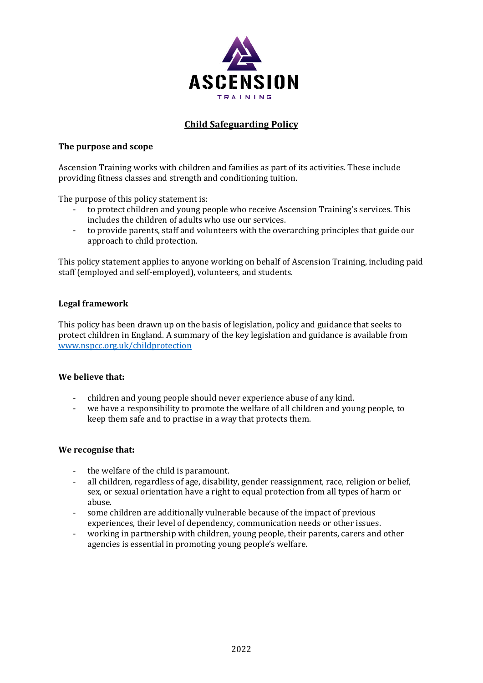

# **Child Safeguarding Policy**

#### **The purpose and scope**

Ascension Training works with children and families as part of its activities. These include providing fitness classes and strength and conditioning tuition.

The purpose of this policy statement is:

- to protect children and young people who receive Ascension Training's services. This includes the children of adults who use our services.
- to provide parents, staff and volunteers with the overarching principles that guide our approach to child protection.

This policy statement applies to anyone working on behalf of Ascension Training, including paid staff (employed and self-employed), volunteers, and students.

### **Legal framework**

This policy has been drawn up on the basis of legislation, policy and guidance that seeks to protect children in England. A summary of the key legislation and guidance is available from [www.nspcc.org.uk/childprotection](http://www.nspcc.org.uk/childprotection)

### **We believe that:**

- children and young people should never experience abuse of any kind.
- we have a responsibility to promote the welfare of all children and young people, to keep them safe and to practise in a way that protects them.

#### **We recognise that:**

- the welfare of the child is paramount.
- all children, regardless of age, disability, gender reassignment, race, religion or belief, sex, or sexual orientation have a right to equal protection from all types of harm or abuse.
- some children are additionally vulnerable because of the impact of previous experiences, their level of dependency, communication needs or other issues.
- working in partnership with children, young people, their parents, carers and other agencies is essential in promoting young people's welfare.